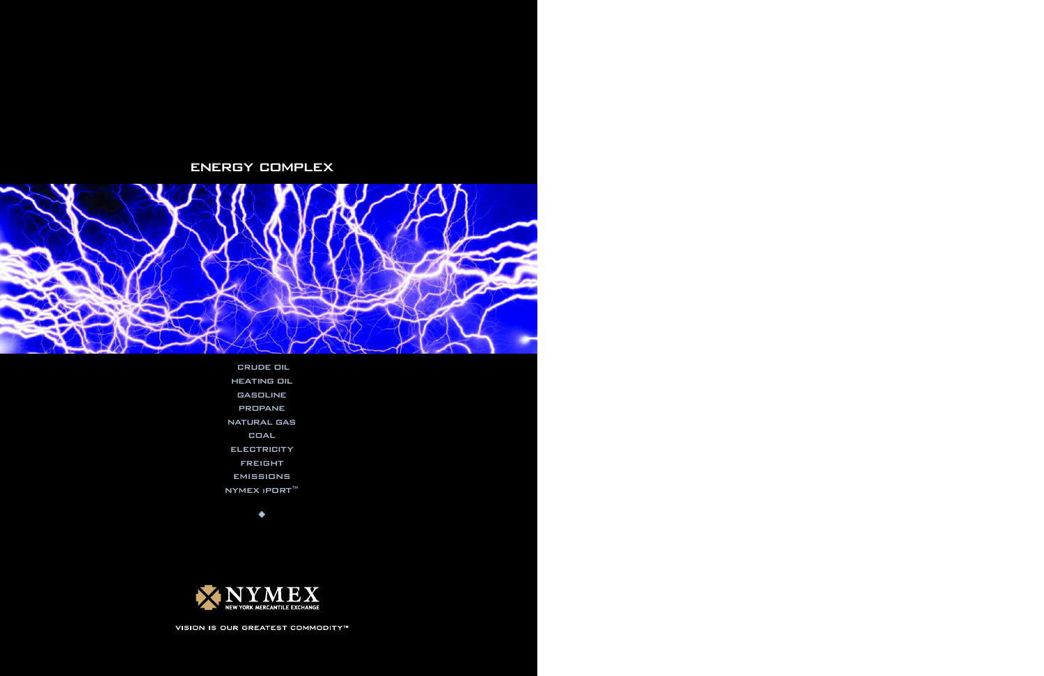# ENERGY COMPLEX



CRUDE OIL HEATING OIL GASOLINE PROPANE NATURAL GAS COAL **ELECTRICITY** FREIGHT EMISSIONS NYMEX iPORT™

 $\blacklozenge$ 



VISION IS OUR GREATEST COMMODITY™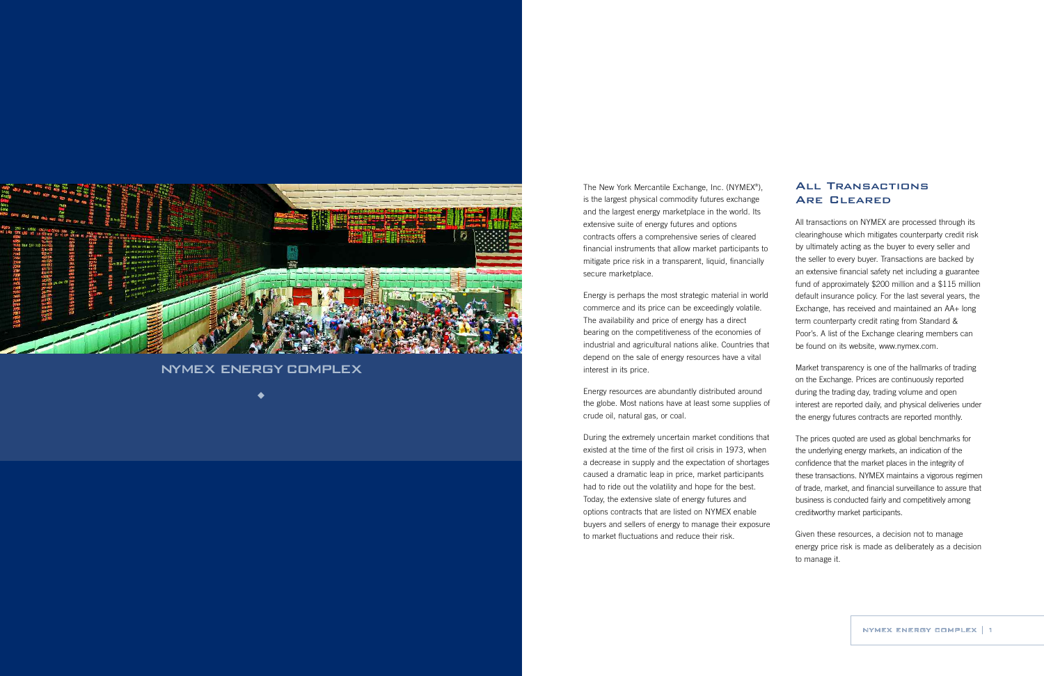## All Transactions Are Cleared

All transactions on NYMEX are processed through its clearinghouse which mitigates counterparty credit risk by ultimately acting as the buyer to every seller and the seller to every buyer. Transactions are backed by an extensive financial safety net including a guarantee fund of approximately \$200 million and a \$115 million default insurance policy. For the last several years, the Exchange, has received and maintained an AA+ long term counterparty credit rating from Standard & Poor's. A list of the Exchange clearing members can be found on its website, www.nymex.com.

Market transparency is one of the hallmarks of trading on the Exchange. Prices are continuously reported during the trading day, trading volume and open interest are reported daily, and physical deliveries under the energy futures contracts are reported monthly.

energy price risk is made as deliberately as a decision to manage it.

The New York Mercantile Exchange, Inc. (NYMEX®), is the largest physical commodity futures exchange and the largest energy marketplace in the world. Its extensive suite of energy futures and options contracts offers a comprehensive series of cleared financial instruments that allow market participants to mitigate price risk in a transparent, liquid, financially secure marketplace.

The prices quoted are used as global benchmarks for the underlying energy markets, an indication of the confidence that the market places in the integrity of these transactions. NYMEX maintains a vigorous regimen of trade, market, and financial surveillance to assure that business is conducted fairly and competitively among creditworthy market participants. Given these resources, a decision not to manage During the extremely uncertain market conditions that existed at the time of the first oil crisis in 1973, when a decrease in supply and the expectation of shortages caused a dramatic leap in price, market participants had to ride out the volatility and hope for the best. Today, the extensive slate of energy futures and options contracts that are listed on NYMEX enable buyers and sellers of energy to manage their exposure to market fluctuations and reduce their risk.

Energy is perhaps the most strategic material in world commerce and its price can be exceedingly volatile. The availability and price of energy has a direct bearing on the competitiveness of the economies of industrial and agricultural nations alike. Countries that depend on the sale of energy resources have a vital interest in its price.

Energy resources are abundantly distributed around the globe. Most nations have at least some supplies of crude oil, natural gas, or coal.



## NYMEX ENERGY COMPLEX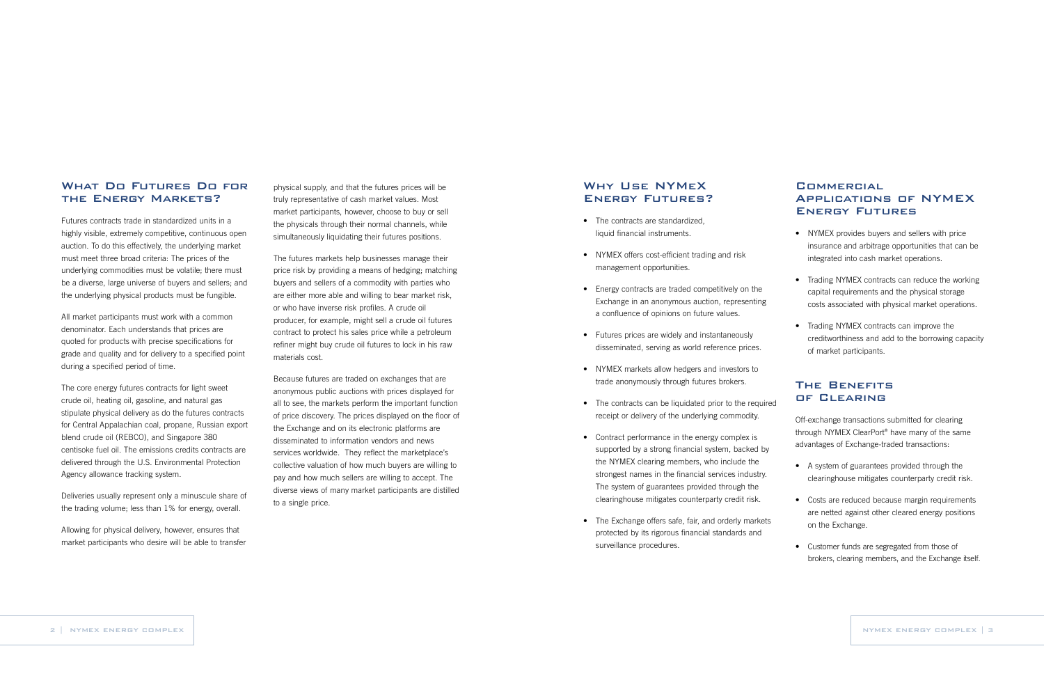## **COMMERCIAL** Applications of NYMEX Energy Futures

- NYMEX provides buyers and sellers with price insurance and arbitrage opportunities that can be integrated into cash market operations.
- Trading NYMEX contracts can reduce the working capital requirements and the physical storage costs associated with physical market operations.
- Trading NYMEX contracts can improve the creditworthiness and add to the borrowing capacity of market participants.

## The Benefits of Clearing

Off-exchange transactions submitted for clearing through NYMEX ClearPort® have many of the same advantages of Exchange-traded transactions:

- A system of guarantees provided through the clearinghouse mitigates counterparty credit risk.
- Costs are reduced because margin requirements are netted against other cleared energy positions on the Exchange.
- Customer funds are segregated from those of brokers, clearing members, and the Exchange itself.

## Why Use NYMeX Energy Futures?

- The contracts are standardized. liquid financial instruments.
- NYMEX offers cost-efficient trading and risk management opportunities.
- Energy contracts are traded competitively on the Exchange in an anonymous auction, representing a confluence of opinions on future values.
- Futures prices are widely and instantaneously disseminated, serving as world reference prices.
- NYMEX markets allow hedgers and investors to trade anonymously through futures brokers.
- The contracts can be liquidated prior to the required receipt or delivery of the underlying commodity.
- Contract performance in the energy complex is supported by a strong financial system, backed by the NYMEX clearing members, who include the strongest names in the financial services industry. The system of guarantees provided through the clearinghouse mitigates counterparty credit risk.
- The Exchange offers safe, fair, and orderly markets protected by its rigorous financial standards and surveillance procedures.

physical supply, and that the futures prices will be truly representative of cash market values. Most market participants, however, choose to buy or sell the physicals through their normal channels, while simultaneously liquidating their futures positions.

The futures markets help businesses manage their price risk by providing a means of hedging; matching buyers and sellers of a commodity with parties who are either more able and willing to bear market risk, or who have inverse risk profiles. A crude oil producer, for example, might sell a crude oil futures contract to protect his sales price while a petroleum refiner might buy crude oil futures to lock in his raw materials cost.

Because futures are traded on exchanges that are anonymous public auctions with prices displayed for all to see, the markets perform the important function of price discovery. The prices displayed on the floor of the Exchange and on its electronic platforms are disseminated to information vendors and news services worldwide. They reflect the marketplace's collective valuation of how much buyers are willing to pay and how much sellers are willing to accept. The diverse views of many market participants are distilled to a single price.

#### What Do Futures Do for the Energy Markets?

Futures contracts trade in standardized units in a highly visible, extremely competitive, continuous open auction. To do this effectively, the underlying market must meet three broad criteria: The prices of the underlying commodities must be volatile; there must be a diverse, large universe of buyers and sellers; and the underlying physical products must be fungible.

All market participants must work with a common denominator. Each understands that prices are quoted for products with precise specifications for grade and quality and for delivery to a specified point during a specified period of time.

The core energy futures contracts for light sweet crude oil, heating oil, gasoline, and natural gas stipulate physical delivery as do the futures contracts for Central Appalachian coal, propane, Russian export blend crude oil (REBCO), and Singapore 380 centisoke fuel oil. The emissions credits contracts are delivered through the U.S. Environmental Protection Agency allowance tracking system.

Deliveries usually represent only a minuscule share of the trading volume; less than 1% for energy, overall.

Allowing for physical delivery, however, ensures that market participants who desire will be able to transfer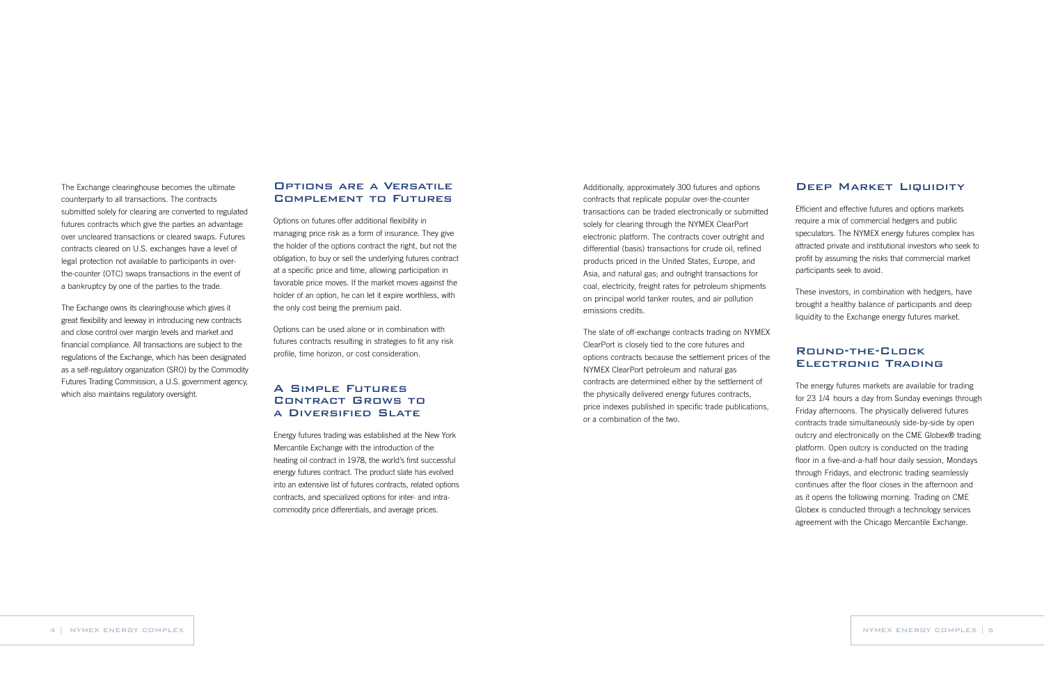Efficient and effective futures and options markets require a mix of commercial hedgers and public speculators. The NYMEX energy futures complex has attracted private and institutional investors who seek to profit by assuming the risks that commercial market participants seek to avoid.

These investors, in combination with hedgers, have brought a healthy balance of participants and deep liquidity to the Exchange energy futures market.

## Round-the-Clock Electronic Trading

The energy futures markets are available for trading for 23 1/4 hours a day from Sunday evenings through Friday afternoons. The physically delivered futures contracts trade simultaneously side-by-side by open outcry and electronically on the CME Globex® trading platform. Open outcry is conducted on the trading floor in a five-and-a-half hour daily session, Mondays through Fridays, and electronic trading seamlessly continues after the floor closes in the afternoon and as it opens the following morning. Trading on CME Globex is conducted through a technology services agreement with the Chicago Mercantile Exchange.

Additionally, approximately 300 futures and options contracts that replicate popular over-the-counter transactions can be traded electronically or submitted solely for clearing through the NYMEX ClearPort electronic platform. The contracts cover outright and differential (basis) transactions for crude oil, refined products priced in the United States, Europe, and Asia, and natural gas; and outright transactions for coal, electricity, freight rates for petroleum shipments on principal world tanker routes, and air pollution emissions credits.

The slate of off-exchange contracts trading on NYMEX ClearPort is closely tied to the core futures and options contracts because the settlement prices of the NYMEX ClearPort petroleum and natural gas contracts are determined either by the settlement of the physically delivered energy futures contracts, price indexes published in specific trade publications, or a combination of the two.

#### DEEP MARKET LIQUIDITY

## Options are a Versatile Complement to Futures

Options on futures offer additional flexibility in managing price risk as a form of insurance. They give the holder of the options contract the right, but not the obligation, to buy or sell the underlying futures contract at a specific price and time, allowing participation in favorable price moves. If the market moves against the holder of an option, he can let it expire worthless, with the only cost being the premium paid.

Options can be used alone or in combination with futures contracts resulting in strategies to fit any risk profile, time horizon, or cost consideration.

## A Simple Futures Contract Grows to a Diversified Slate

Energy futures trading was established at the New York Mercantile Exchange with the introduction of the heating oil contract in 1978, the world's first successful energy futures contract. The product slate has evolved into an extensive list of futures contracts, related options contracts, and specialized options for inter- and intracommodity price differentials, and average prices.

The Exchange clearinghouse becomes the ultimate counterparty to all transactions. The contracts submitted solely for clearing are converted to regulated futures contracts which give the parties an advantage over uncleared transactions or cleared swaps. Futures contracts cleared on U.S. exchanges have a level of legal protection not available to participants in overthe-counter (OTC) swaps transactions in the event of a bankruptcy by one of the parties to the trade.

The Exchange owns its clearinghouse which gives it great flexibility and leeway in introducing new contracts and close control over margin levels and market and financial compliance. All transactions are subject to the regulations of the Exchange, which has been designated as a self-regulatory organization (SRO) by the Commodity Futures Trading Commission, a U.S. government agency, which also maintains regulatory oversight.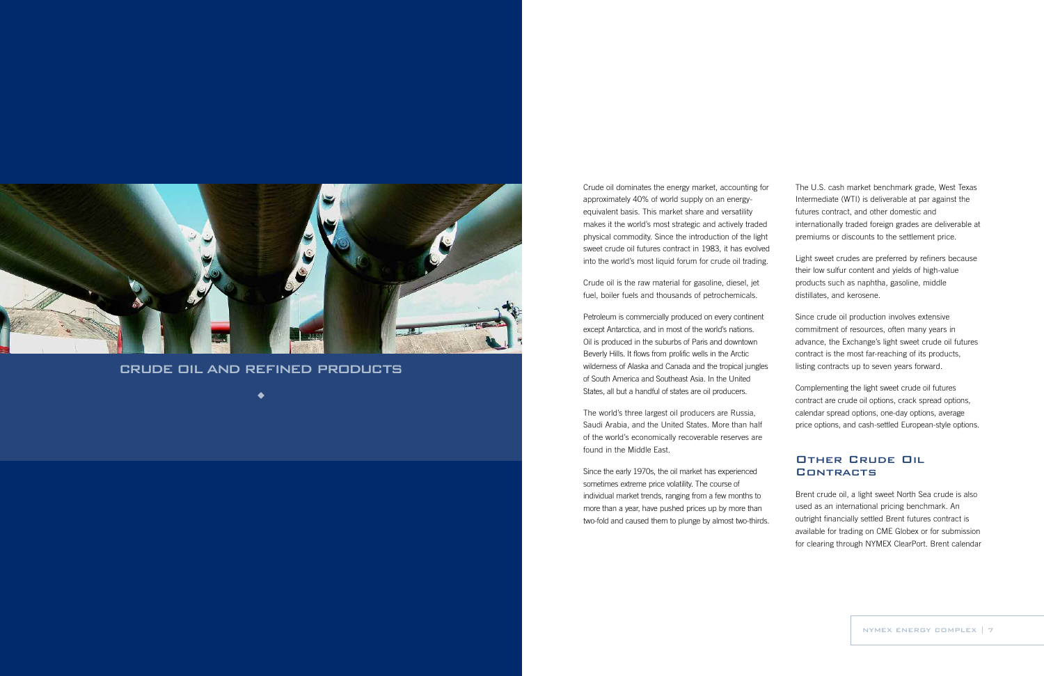The U.S. cash market benchmark grade, West Texas Intermediate (WTI) is deliverable at par against the futures contract, and other domestic and internationally traded foreign grades are deliverable at premiums or discounts to the settlement price.

Light sweet crudes are preferred by refiners because their low sulfur content and yields of high-value products such as naphtha, gasoline, middle distillates, and kerosene.

## Other Crude Oil **CONTRACTS**

Since crude oil production involves extensive commitment of resources, often many years in advance, the Exchange's light sweet crude oil futures contract is the most far-reaching of its products, listing contracts up to seven years forward.

Complementing the light sweet crude oil futures contract are crude oil options, crack spread options, calendar spread options, one-day options, average price options, and cash-settled European-style options.

Brent crude oil, a light sweet North Sea crude is also used as an international pricing benchmark. An outright financially settled Brent futures contract is available for trading on CME Globex or for submission for clearing through NYMEX ClearPort. Brent calendar

Crude oil dominates the energy market, accounting for approximately 40% of world supply on an energyequivalent basis. This market share and versatility makes it the world's most strategic and actively traded physical commodity. Since the introduction of the light sweet crude oil futures contract in 1983, it has evolved into the world's most liquid forum for crude oil trading.

Crude oil is the raw material for gasoline, diesel, jet fuel, boiler fuels and thousands of petrochemicals.

Petroleum is commercially produced on every continent except Antarctica, and in most of the world's nations. Oil is produced in the suburbs of Paris and downtown Beverly Hills. It flows from prolific wells in the Arctic wilderness of Alaska and Canada and the tropical jungles of South America and Southeast Asia. In the United States, all but a handful of states are oil producers.

The world's three largest oil producers are Russia, Saudi Arabia, and the United States. More than half of the world's economically recoverable reserves are found in the Middle East.

Since the early 1970s, the oil market has experienced sometimes extreme price volatility. The course of individual market trends, ranging from a few months to more than a year, have pushed prices up by more than two-fold and caused them to plunge by almost two-thirds.



## CRUDE OIL AND REFINED PRODUCTS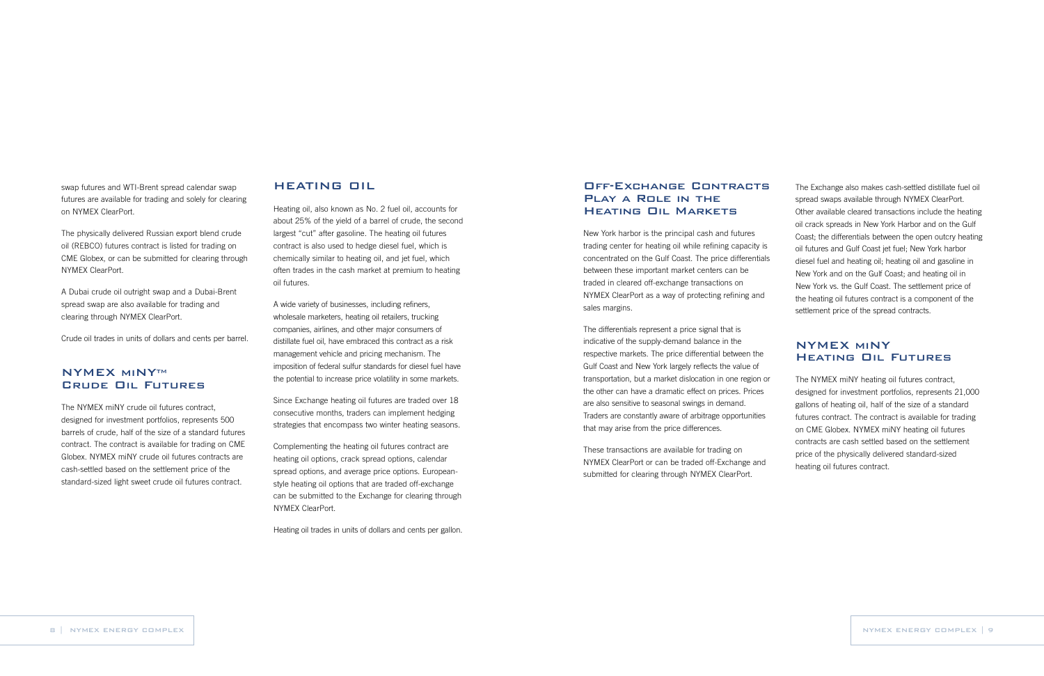The Exchange also makes cash-settled distillate fuel oil spread swaps available through NYMEX ClearPort. Other available cleared transactions include the heating oil crack spreads in New York Harbor and on the Gulf Coast; the differentials between the open outcry heating oil futures and Gulf Coast jet fuel; New York harbor diesel fuel and heating oil; heating oil and gasoline in New York and on the Gulf Coast; and heating oil in New York vs. the Gulf Coast. The settlement price of the heating oil futures contract is a component of the settlement price of the spread contracts.

## NYMEX miNY Heating Oil Futures

The NYMEX miNY heating oil futures contract, designed for investment portfolios, represents 21,000 gallons of heating oil, half of the size of a standard futures contract. The contract is available for trading on CME Globex. NYMEX miNY heating oil futures contracts are cash settled based on the settlement price of the physically delivered standard-sized heating oil futures contract.

### Off-Exchange Contracts Play a Role in the Heating Oil Markets

New York harbor is the principal cash and futures trading center for heating oil while refining capacity is concentrated on the Gulf Coast. The price differentials between these important market centers can be traded in cleared off-exchange transactions on NYMEX ClearPort as a way of protecting refining and sales margins.

The differentials represent a price signal that is indicative of the supply-demand balance in the respective markets. The price differential between the Gulf Coast and New York largely reflects the value of transportation, but a market dislocation in one region or the other can have a dramatic effect on prices. Prices are also sensitive to seasonal swings in demand. Traders are constantly aware of arbitrage opportunities that may arise from the price differences.

## **NYMEX MINYTM** Crude Oil Futures

These transactions are available for trading on NYMEX ClearPort or can be traded off-Exchange and submitted for clearing through NYMEX ClearPort.

#### HEATING OIL

Heating oil, also known as No. 2 fuel oil, accounts for about 25% of the yield of a barrel of crude, the second largest "cut" after gasoline. The heating oil futures contract is also used to hedge diesel fuel, which is chemically similar to heating oil, and jet fuel, which often trades in the cash market at premium to heating oil futures.

A wide variety of businesses, including refiners, wholesale marketers, heating oil retailers, trucking companies, airlines, and other major consumers of distillate fuel oil, have embraced this contract as a risk management vehicle and pricing mechanism. The imposition of federal sulfur standards for diesel fuel have the potential to increase price volatility in some markets.

Since Exchange heating oil futures are traded over 18 consecutive months, traders can implement hedging strategies that encompass two winter heating seasons.

Complementing the heating oil futures contract are heating oil options, crack spread options, calendar spread options, and average price options. Europeanstyle heating oil options that are traded off-exchange can be submitted to the Exchange for clearing through NYMEX ClearPort.

Heating oil trades in units of dollars and cents per gallon.

swap futures and WTI-Brent spread calendar swap futures are available for trading and solely for clearing on NYMEX ClearPort.

The physically delivered Russian export blend crude oil (REBCO) futures contract is listed for trading on CME Globex, or can be submitted for clearing through NYMEX ClearPort.

A Dubai crude oil outright swap and a Dubai-Brent spread swap are also available for trading and clearing through NYMEX ClearPort.

Crude oil trades in units of dollars and cents per barrel.

The NYMEX miNY crude oil futures contract, designed for investment portfolios, represents 500 barrels of crude, half of the size of a standard futures contract. The contract is available for trading on CME Globex. NYMEX miNY crude oil futures contracts are cash-settled based on the settlement price of the standard-sized light sweet crude oil futures contract.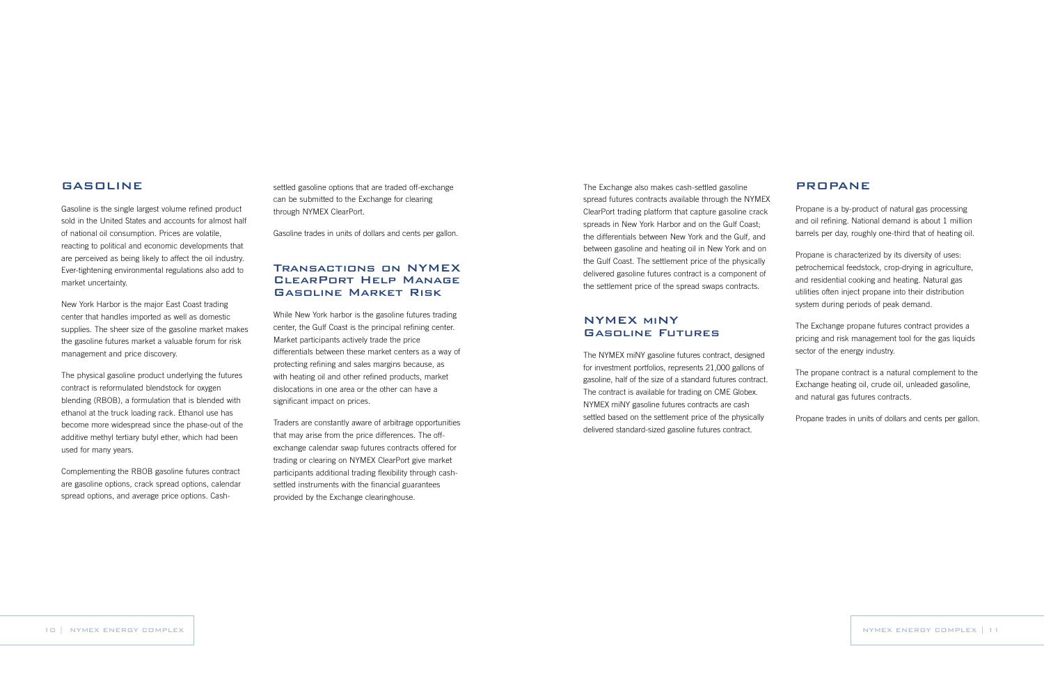settled gasoline options that are traded off-exchange can be submitted to the Exchange for clearing through NYMEX ClearPort.

Gasoline trades in units of dollars and cents per gallon.

## Transactions on NYMEX ClearPort Help Manage Gasoline Market Risk

While New York harbor is the gasoline futures trading center, the Gulf Coast is the principal refining center. Market participants actively trade the price differentials between these market centers as a way of protecting refining and sales margins because, as with heating oil and other refined products, market dislocations in one area or the other can have a significant impact on prices.

Traders are constantly aware of arbitrage opportunities that may arise from the price differences. The offexchange calendar swap futures contracts offered for trading or clearing on NYMEX ClearPort give market participants additional trading flexibility through cashsettled instruments with the financial guarantees provided by the Exchange clearinghouse.

#### GASOLINE

Gasoline is the single largest volume refined product sold in the United States and accounts for almost half of national oil consumption. Prices are volatile, reacting to political and economic developments that are perceived as being likely to affect the oil industry. Ever-tightening environmental regulations also add to market uncertainty.

New York Harbor is the major East Coast trading center that handles imported as well as domestic supplies. The sheer size of the gasoline market makes the gasoline futures market a valuable forum for risk management and price discovery.

The physical gasoline product underlying the futures contract is reformulated blendstock for oxygen blending (RBOB), a formulation that is blended with ethanol at the truck loading rack. Ethanol use has become more widespread since the phase-out of the additive methyl tertiary butyl ether, which had been used for many years.

Complementing the RBOB gasoline futures contract are gasoline options, crack spread options, calendar spread options, and average price options. Cash-

#### PROPANE

Propane is a by-product of natural gas processing and oil refining. National demand is about 1 million barrels per day, roughly one-third that of heating oil.

Propane is characterized by its diversity of uses: petrochemical feedstock, crop-drying in agriculture, and residential cooking and heating. Natural gas utilities often inject propane into their distribution system during periods of peak demand.

The Exchange propane futures contract provides a pricing and risk management tool for the gas liquids sector of the energy industry.

The propane contract is a natural complement to the Exchange heating oil, crude oil, unleaded gasoline, and natural gas futures contracts.

Propane trades in units of dollars and cents per gallon.

The Exchange also makes cash-settled gasoline spread futures contracts available through the NYMEX ClearPort trading platform that capture gasoline crack spreads in New York Harbor and on the Gulf Coast; the differentials between New York and the Gulf, and between gasoline and heating oil in New York and on the Gulf Coast. The settlement price of the physically delivered gasoline futures contract is a component of the settlement price of the spread swaps contracts.

## NYMEX miNY Gasoline Futures

The NYMEX miNY gasoline futures contract, designed for investment portfolios, represents 21,000 gallons of gasoline, half of the size of a standard futures contract. The contract is available for trading on CME Globex. NYMEX miNY gasoline futures contracts are cash settled based on the settlement price of the physically delivered standard-sized gasoline futures contract.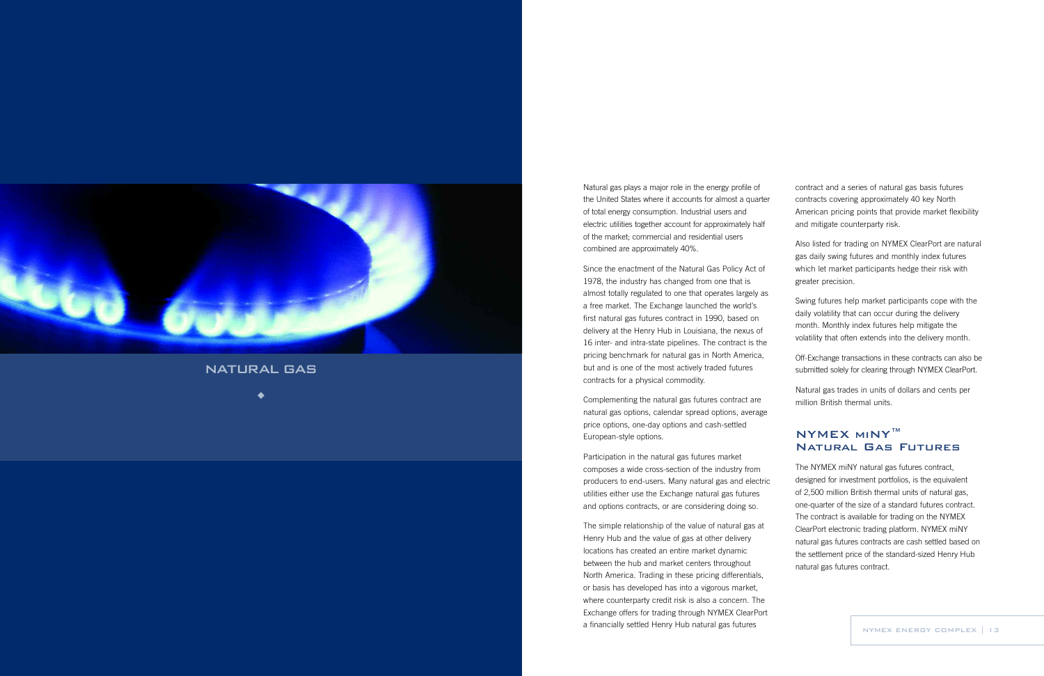Natural gas plays a major role in the energy profile of the United States where it accounts for almost a quarter of total energy consumption. Industrial users and electric utilities together account for approximately half of the market; commercial and residential users combined are approximately 40%.

Since the enactment of the Natural Gas Policy Act of 1978, the industr y has changed from one that is almost totally regulated to one that operates largely as a free market. The Exchange launched the world's first natural gas futures contract in 1990, based on delivery at the Henry Hub in Louisiana, the nexus of 16 inter- and intra-state pipelines. The contract is the pricing benchmark for natural gas in North America, but and is one of the most actively traded futures contracts for a physical commodity.

The simple relationship of the value of natural gas at Henr y Hub and the value of gas at other delivery locations has created an entire market dynamic between the hub and market centers throughout North America. Trading in these pricing differentials, or basis has developed has into a vigorous market, where counterparty credit risk is also a concern. The Exchange offers for trading through NYMEX ClearPort a financially settled Henry Hub natural gas futures **NATA READ ASSESS** NYMEX ENERGY COMPLEX | 13

Complementing the natural gas futures contract are natural gas options, calendar spread options, average price options, one-day options and cash-settled European-style options.

Participation in the natural gas futures market composes a wide cross-section of the industry from producers to end-users. Many natural gas and electric utilities either use the Exchange natural gas futures and options contracts, or ar e considering doing so.

contract and a series of natural gas basis futures contracts covering approximately 40 key North American pricing points that provide market flexibility and mitigate counterparty risk.

Also listed for trading on NYMEX ClearPort are natural gas daily swing futures and monthly index futures which let market participants hedge their risk with greater precision.

Swing futures help market participants cope with the daily volatility that can occur during the delivery month. Monthly index futures help mitigate the volatility that often extends into the delivery month.

Off-Exchange transactions in these contracts can also be submitted solely for clearing through NYMEX ClearPort.

Natural gas trades in units of dollars and cents per million British thermal units.

## NYMEX miNY™ Natural Gas Futures

The NYMEX miNY natural gas futures contract, designed for investment portfolios, is the equivalent of 2,500 million British thermal units of natural gas, one-quarter of the size of a standar d futures contract. The contract is available for trading on the NYMEX ClearPort electronic trading platform. NYMEX miNY natural gas futures contracts are cash settled based on the settlement price of the standard-sized Henry Hub natural gas futures contract.



NATURAL GAS

 $\bullet$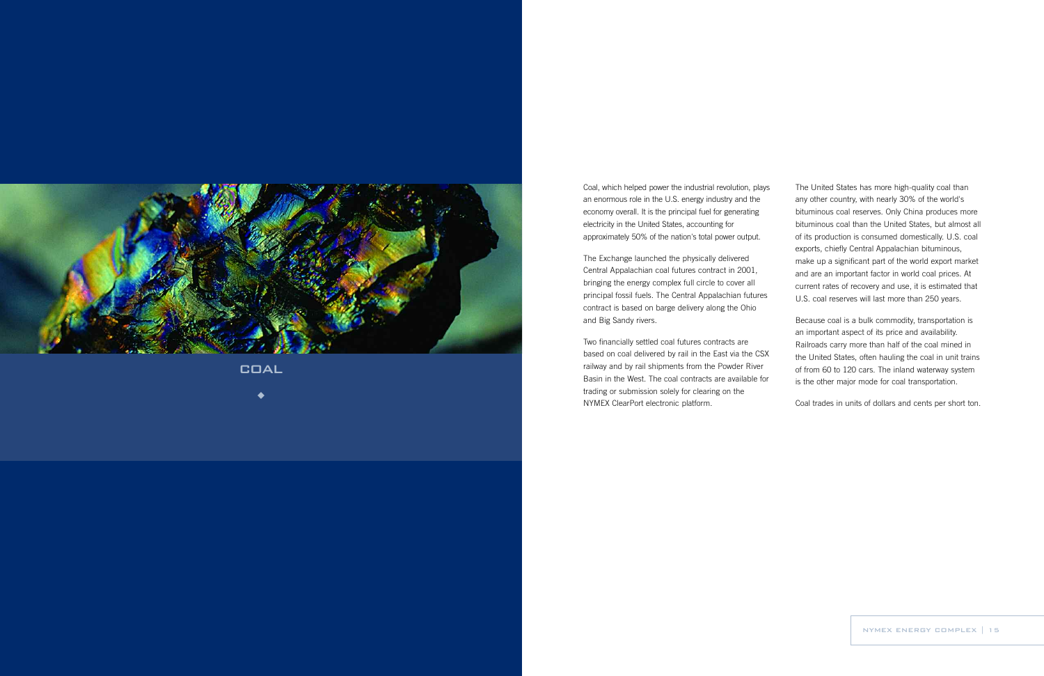The United States has more high-quality coal than any other country, with nearly 30% of the world's bituminous coal reserves. Only China produces more bituminous coal than the United States, but almost all of its production is consumed domestically. U.S. coal exports, chiefly Central Appalachian bituminous, make up a significant part of the world export market and are an important factor in world coal prices. At current rates of recovery and use, it is estimated that U.S. coal reserves will last more than 250 years.

Because coal is a bulk commodity, transportation is an important aspect of its price and availability. Railroads carry more than half of the coal mined in the United States, often hauling the coal in unit trains of from 60 to 120 cars. The inland waterway system is the other major mode for coal transportation.

Coal trades in units of dollars and cents per short ton.

Coal, which helped power the industrial revolution, plays an enormous role in the U.S. energy industry and the economy overall. It is the principal fuel for generating electricity in the United States, accounting for approximately 50% of the nation's total power output.

The Exchange launched the physically delivered Central Appalachian coal futures contract in 2001, bringing the energy complex full circle to cover all principal fossil fuels. The Central Appalachian futures contract is based on barge delivery along the Ohio and Big Sandy rivers.

Two financially settled coal futures contracts are based on coal delivered by rail in the East via the CSX railway and by rail shipments from the Powder River Basin in the West. The coal contracts are available for trading or submission solely for clearing on the NYMEX ClearPort electronic platform.



COAL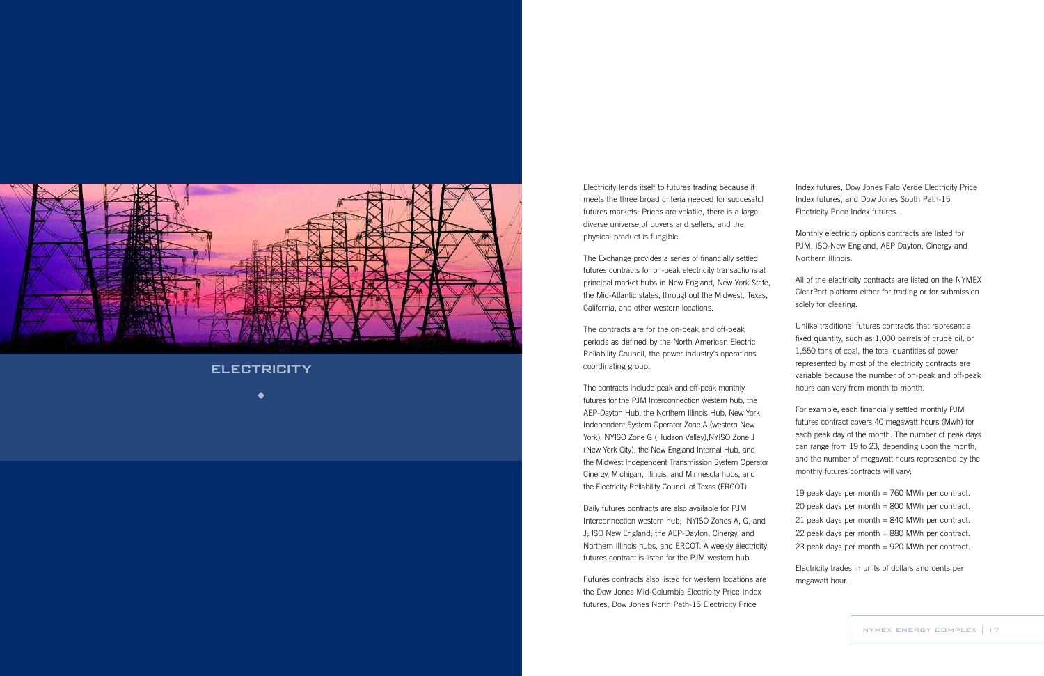Index futures, Dow Jones Palo Verde Electricity Price Index futures, and Dow Jones South Path-15 Electricity Price Index futures.

Monthly electricity options contracts ar e listed for PJM, ISO-New England, AEP Dayton, Cinergy and Northern Illinois.

All of the electricity contracts are listed on the NYMEX ClearPort platform either for trading or for submission solely for clearing.

Unlike traditional futures contracts that represent a fixed quantity , such as 1,000 barrels of crude oil, or 1,550 tons of coal, the total quantities of power represented by most of the electricity contracts are variable because the number of on-peak and off-peak hours can vary from month to month.

For example, each financially settled monthly PJM futures contract covers 40 megawatt hours (Mwh) for each peak day of the month. The number of peak days can range from 19 to 23, depending upon the month, and the number of megawatt hours represented by the monthly futures contracts will vary:

19 peak days per month = 760 MWh per contract. 20 peak days per month = 800 MWh per contract. 21 peak days per month  $= 840$  MWh per contract. 22 peak days per month = 880 MWh per contract. 23 peak days per month = 920 MWh per contract.

Electricity trades in units of dollars and cents per megawatt hour .

Electricity lends itself to futures trading because it meets the three broad criteria needed for successful futures markets: Prices are volatile, there is a large, diverse universe of buyers and sellers, and the physical product is fungible.

The Exchange provides a series of financially settled futures contracts for on-peak electricity transactions at principal market hubs in New England, New York State, the Mid-Atlantic states, throughout the Midwest, Texas, California, and other western locations.

The contracts are for the on-peak and off-peak periods as defined by the North American Electric Reliability Council, the power industry's operations coordinating group.

The contracts include peak and off-peak monthly futures for the PJM Interconnection western hub, the AEP-Dayton Hub, the Norther n Illinois Hub, New York Independent System Operator Zone A (western New York), NYISO Zone G (Hudson Valley),NYISO Zone J (New York City), the New England Internal Hub, and the Midwest Independent Transmission System Operator Cinergy, Michigan, Illinois, and Minnesota hubs, and the Electricity Reliability Council of Texas (ERCOT).

Daily futures contracts are also available for PJM Interconnection western hub; NYISO Zones A, G, and J; ISO New England; the AEP-Dayton, Cinergy , and Norther n Illinois hubs, and ERCOT . A weekly electricity futures contract is listed for the PJM western hub.

Futures contracts also listed for western locations are the Dow Jones Mid-Columbia Electricity Price Index futures, Dow Jones North Path-15 Electricity Price



ELECTRICITY

 $\blacktriangle$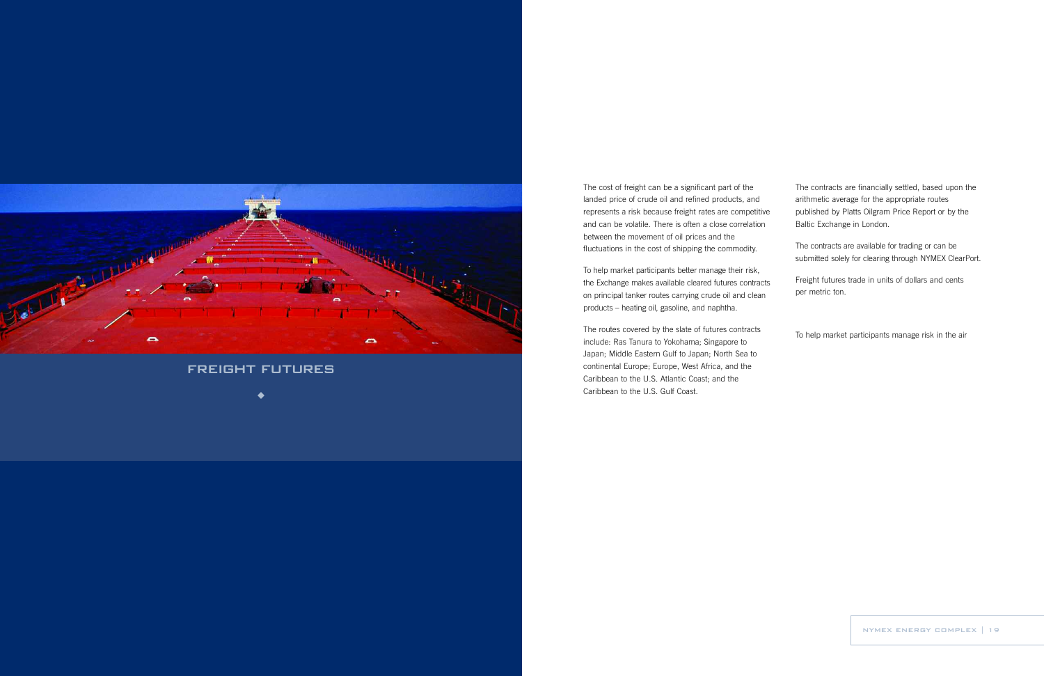The contracts are financially settled, based upon the arithmetic average for the appropriate routes published by Platts Oilgram Price Report or by the Baltic Exchange in London.

The contracts are available for trading or can be submitted solely for clearing through NYMEX ClearPort.

Freight futures trade in units of dollars and cents per metric ton.

To help market participants manage risk in the air

The cost of freight can be a significant part of the landed price of crude oil and refined products, and represents a risk because freight rates are competitive and can be volatile. There is often a close correlation between the movement of oil prices and the fluctuations in the cost of shipping the commodity.

To help market participants better manage their risk, the Exchange makes available cleared futures contracts on principal tanker routes carrying crude oil and clean products – heating oil, gasoline, and naphtha.

The routes covered by the slate of futures contracts include: Ras Tanura to Yokohama; Singapore to Japan; Middle Eastern Gulf to Japan; North Sea to continental Europe; Europe, West Africa, and the Caribbean to the U.S. Atlantic Coast; and the Caribbean to the U.S. Gulf Coast.



# FREIGHT FUTURES

 $\blacklozenge$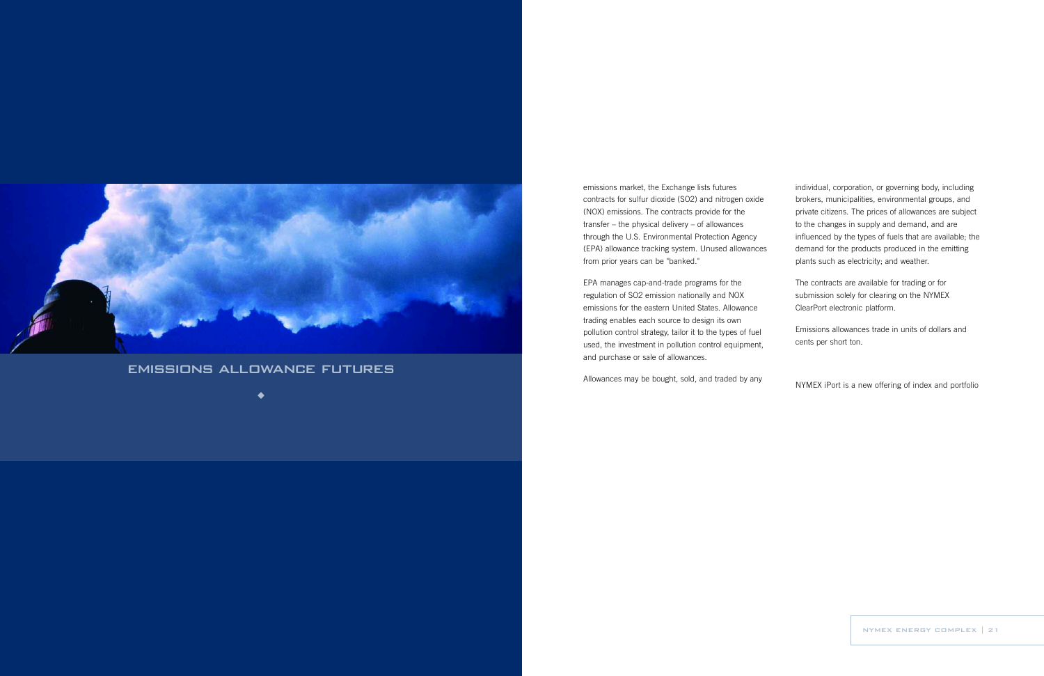individual, corporation, or governing body, including brokers, municipalities, environmental groups, and private citizens. The prices of allowances are subject to the changes in supply and demand, and are influenced by the types of fuels that are available; the demand for the products produced in the emitting plants such as electricity; and weather.

The contracts are available for trading or for submission solely for clearing on the NYMEX ClearPort electronic platform.

Emissions allowances trade in units of dollars and cents per short ton.

NYMEX iPort is a new offering of index and portfolio

emissions market, the Exchange lists futures contracts for sulfur dioxide (SO2) and nitrogen oxide (NOX) emissions. The contracts provide for the transfer – the physical delivery – of allowances through the U.S. Environmental Protection Agency (EPA) allowance tracking system. Unused allowances from prior years can be "banked."

EPA manages cap-and-trade programs for the regulation of SO2 emission nationally and NOX emissions for the eastern United States. Allowance trading enables each source to design its own pollution control strategy, tailor it to the types of fuel used, the investment in pollution control equipment, and purchase or sale of allowances.

Allowances may be bought, sold, and traded by any



# EMISSIONS ALLOWANCE FUTURES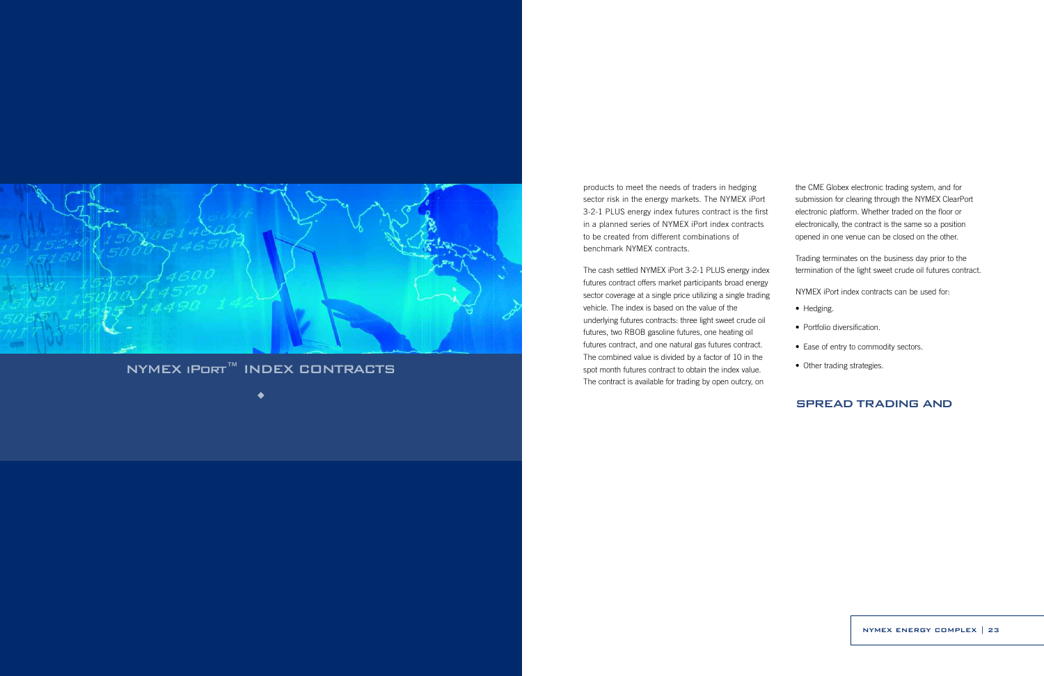the CME Globex electronic trading system, and for submission for clearing through the NYMEX ClearPort electronic platform. Whether traded on the floor or electronically, the contract is the same so a position opened in one venue can be closed on the other.

Trading terminates on the business day prior to the termination of the light sweet crude oil futures contract.

NYMEX iPort index contracts can be used for:

- Hedging.
- Portfolio diversification.
- Ease of entry to commodity sectors.
- Other trading strategies.

#### SPREAD TRADING AND

products to meet the needs of traders in hedging sector risk in the energy markets. The NYMEX iPort 3-2-1 PLUS energy index futures contract is the first in a planned series of NYMEX iPort index contracts to be created from different combinations of benchmark NYMEX contracts.

The cash settled NYMEX iPort 3-2-1 PLUS energy index futures contract offers market participants broad energy sector coverage at a single price utilizing a single trading vehicle. The index is based on the value of the underlying futures contracts: three light sweet crude oil futures, two RBOB gasoline futures, one heating oil futures contract, and one natural gas futures contract. The combined value is divided by a factor of 10 in the spot month futures contract to obtain the index value. The contract is available for trading by open outcry, on



# NYMEX iPort™ INDEX CONTRACTS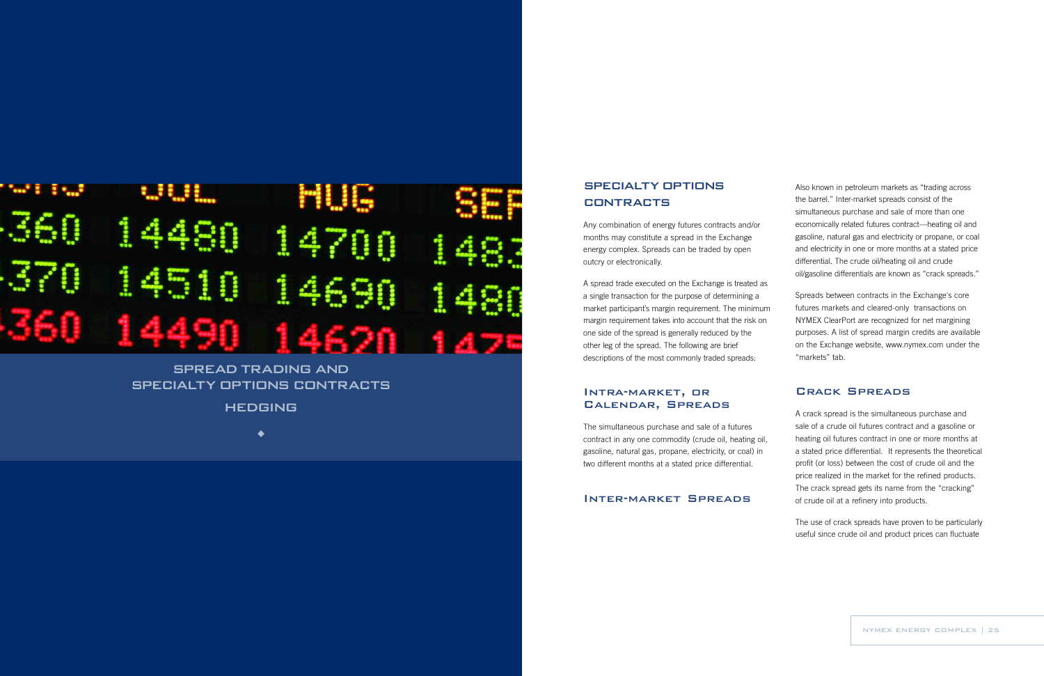Also known in petroleum markets as "trading across the barrel." Inter-market spreads consist of the simultaneous purchase and sale of more than one economically related futures contract—heating oil and gasoline, natural gas and electricity or propane, or coal and electricity in one or more months at a stated price differential. The crude oil/heating oil and crude oil/gasoline differentials are known as "crack spreads."

Spreads between contracts in the Exchange's core futures markets and cleared-only transactions on NYMEX ClearPort are recognized for net margining purposes. A list of spread margin credits are available on the Exchange website, www.nymex.com under the "markets" tab.

# SPECIALTY OPTIONS **CONTRACTS**

#### Crack Spreads

A crack spread is the simultaneous purchase and sale of a crude oil futures contract and a gasoline or heating oil futures contract in one or more months at a stated price differential. It represents the theoretical profit (or loss) between the cost of crude oil and the price realized in the market for the refined products. The crack spread gets its name from the "cracking" of crude oil at a refinery into products.

The use of crack spreads have proven to be particularly useful since crude oil and product prices can fluctuate

Any combination of energy futures contracts and/or months may constitute a spread in the Exchange energy complex. Spreads can be traded by open outcry or electronically.

A spread trade executed on the Exchange is treated as a single transaction for the purpose of determining a market participant's margin requirement. The minimum margin requirement takes into account that the risk on one side of the spread is generally reduced by the other leg of the spread. The following are brief descriptions of the most commonly traded spreads:

#### Intra-market, or Calendar, Spreads

The simultaneous purchase and sale of a futures contract in any one commodity (crude oil, heating oil, gasoline, natural gas, propane, electricity, or coal) in two different months at a stated price differential.

Inter-market Spreads

# 4 4690 **STAR**

# SPREAD TRADING AND SPECIALTY OPTIONS CONTRACTS

HEDGING

 $\blacklozenge$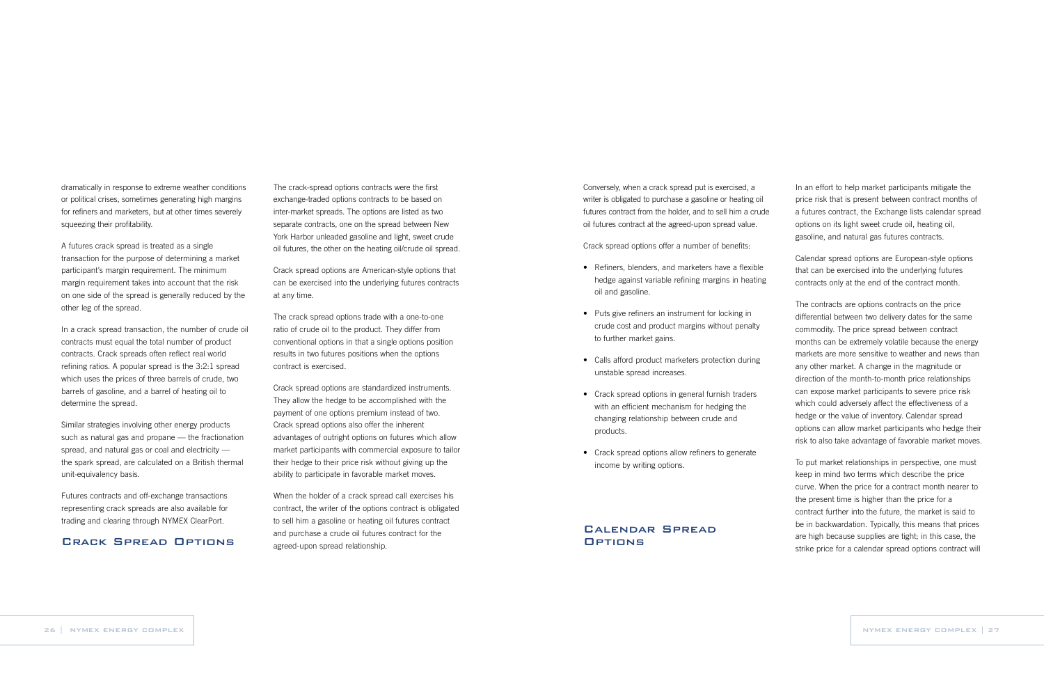In an effort to help market participants mitigate the price risk that is present between contract months of a futures contract, the Exchange lists calendar spread options on its light sweet crude oil, heating oil, gasoline, and natural gas futures contracts.

Calendar spread options are European-style options that can be exercised into the underlying futures contracts only at the end of the contract month.

The contracts are options contracts on the price differential between two delivery dates for the same commodity. The price spread between contract months can be extremely volatile because the energy markets are more sensitive to weather and news than any other market. A change in the magnitude or direction of the month-to-month price relationships can expose market participants to severe price risk which could adversely affect the effectiveness of a hedge or the value of inventory. Calendar spread options can allow market participants who hedge their risk to also take advantage of favorable market moves.

## Calendar Spread **OPTIONS**

To put market relationships in perspective, one must keep in mind two terms which describe the price curve. When the price for a contract month nearer to the present time is higher than the price for a contract further into the future, the market is said to be in backwardation. Typically, this means that prices are high because supplies are tight; in this case, the strike price for a calendar spread options contract will

Conversely, when a crack spread put is exercised, a writer is obligated to purchase a gasoline or heating oil futures contract from the holder, and to sell him a crude oil futures contract at the agreed-upon spread value.

Crack spread options offer a number of benefits:

- Refiners, blenders, and marketers have a flexible hedge against variable refining margins in heating oil and gasoline.
- Puts give refiners an instrument for locking in crude cost and product margins without penalty to further market gains.
- Calls afford product marketers protection during unstable spread increases.
- Crack spread options in general furnish traders with an efficient mechanism for hedging the changing relationship between crude and products.
- Crack spread options allow refiners to generate income by writing options.

The crack-spread options contracts were the first exchange-traded options contracts to be based on inter-market spreads. The options are listed as two separate contracts, one on the spread between New York Harbor unleaded gasoline and light, sweet crude oil futures, the other on the heating oil/crude oil spread.

Crack spread options are American-style options that can be exercised into the underlying futures contracts at any time.

The crack spread options trade with a one-to-one ratio of crude oil to the product. They differ from conventional options in that a single options position results in two futures positions when the options contract is exercised.

Crack spread options are standardized instruments. They allow the hedge to be accomplished with the payment of one options premium instead of two. Crack spread options also offer the inherent advantages of outright options on futures which allow market participants with commercial exposure to tailor their hedge to their price risk without giving up the ability to participate in favorable market moves.

When the holder of a crack spread call exercises his contract, the writer of the options contract is obligated to sell him a gasoline or heating oil futures contract and purchase a crude oil futures contract for the agreed-upon spread relationship.

dramatically in response to extreme weather conditions or political crises, sometimes generating high margins for refiners and marketers, but at other times severely squeezing their profitability.

A futures crack spread is treated as a single transaction for the purpose of determining a market participant's margin requirement. The minimum margin requirement takes into account that the risk on one side of the spread is generally reduced by the other leg of the spread.

In a crack spread transaction, the number of crude oil contracts must equal the total number of product contracts. Crack spreads often reflect real world refining ratios. A popular spread is the 3:2:1 spread which uses the prices of three barrels of crude, two barrels of gasoline, and a barrel of heating oil to determine the spread.

Similar strategies involving other energy products such as natural gas and propane — the fractionation spread, and natural gas or coal and electricity the spark spread, are calculated on a British thermal unit-equivalency basis.

Futures contracts and off-exchange transactions representing crack spreads are also available for trading and clearing through NYMEX ClearPort.

#### Crack Spread Options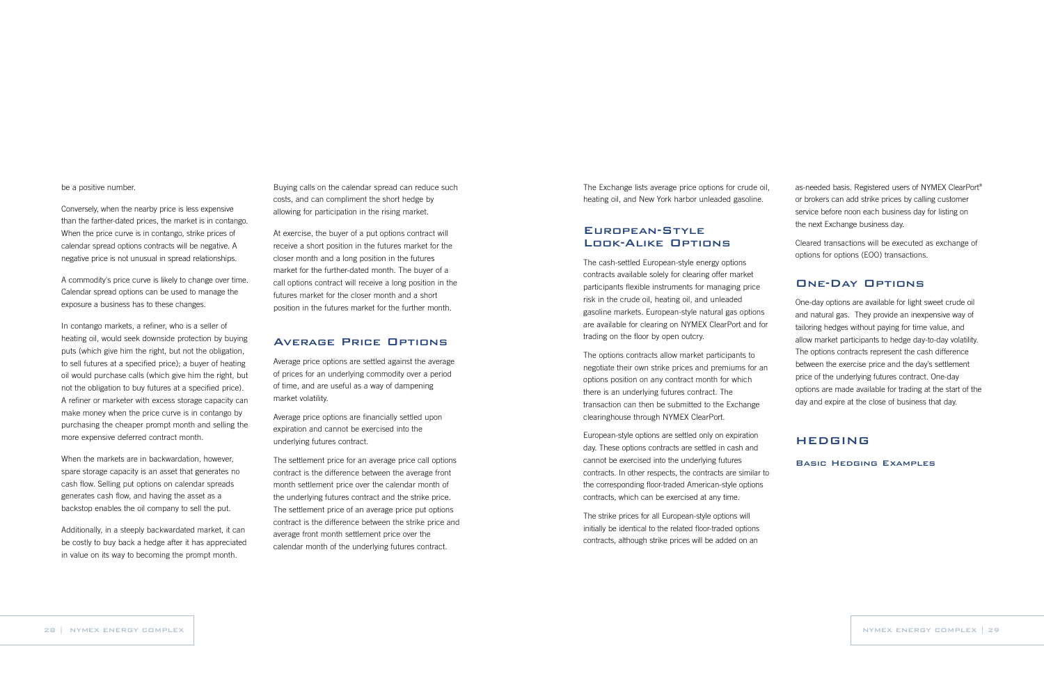as-needed basis. Registered users of NYMEX ClearPort® or brokers can add strike prices by calling customer service before noon each business day for listing on the next Exchange business day.

Cleared transactions will be executed as exchange of options for options (EOO) transactions.

#### One-Day Options

One-day options are available for light sweet crude oil and natural gas. They provide an inexpensive way of tailoring hedges without paying for time value, and allow market participants to hedge day-to-day volatility. The options contracts represent the cash difference between the exercise price and the day's settlement price of the underlying futures contract. One-day options are made available for trading at the start of the day and expire at the close of business that day.

## HEDGING

Basic Hedging Examples

The Exchange lists average price options for crude oil, heating oil, and New York harbor unleaded gasoline.

## European-Style Look-Alike Options

The cash-settled European-style energy options contracts available solely for clearing offer market participants flexible instruments for managing price risk in the crude oil, heating oil, and unleaded gasoline markets. European-style natural gas options are available for clearing on NYMEX ClearPort and for trading on the floor by open outcry.

The options contracts allow market participants to negotiate their own strike prices and premiums for an options position on any contract month for which there is an underlying futures contract. The transaction can then be submitted to the Exchange clearinghouse through NYMEX ClearPort.

European-style options are settled only on expiration day. These options contracts are settled in cash and cannot be exercised into the underlying futures contracts. In other respects, the contracts are similar to the corresponding floor-traded American-style options contracts, which can be exercised at any time.

The strike prices for all European-style options will initially be identical to the related floor-traded options contracts, although strike prices will be added on an

Buying calls on the calendar spread can reduce such costs, and can compliment the short hedge by allowing for participation in the rising market.

At exercise, the buyer of a put options contract will receive a short position in the futures market for the closer month and a long position in the futures market for the further-dated month. The buyer of a call options contract will receive a long position in the futures market for the closer month and a short position in the futures market for the further month.

#### Average Price Options

Average price options are settled against the average of prices for an underlying commodity over a period of time, and are useful as a way of dampening market volatility.

Average price options are financially settled upon expiration and cannot be exercised into the underlying futures contract.

The settlement price for an average price call options contract is the difference between the average front month settlement price over the calendar month of the underlying futures contract and the strike price. The settlement price of an average price put options contract is the difference between the strike price and average front month settlement price over the calendar month of the underlying futures contract.

#### be a positive number.

Conversely, when the nearby price is less expensive than the farther-dated prices, the market is in contango. When the price curve is in contango, strike prices of calendar spread options contracts will be negative. A negative price is not unusual in spread relationships.

A commodity's price curve is likely to change over time. Calendar spread options can be used to manage the exposure a business has to these changes.

In contango markets, a refiner, who is a seller of heating oil, would seek downside protection by buying puts (which give him the right, but not the obligation, to sell futures at a specified price); a buyer of heating oil would purchase calls (which give him the right, but not the obligation to buy futures at a specified price). A refiner or marketer with excess storage capacity can make money when the price curve is in contango by purchasing the cheaper prompt month and selling the more expensive deferred contract month.

When the markets are in backwardation, however, spare storage capacity is an asset that generates no cash flow. Selling put options on calendar spreads generates cash flow, and having the asset as a backstop enables the oil company to sell the put.

Additionally, in a steeply backwardated market, it can be costly to buy back a hedge after it has appreciated in value on its way to becoming the prompt month.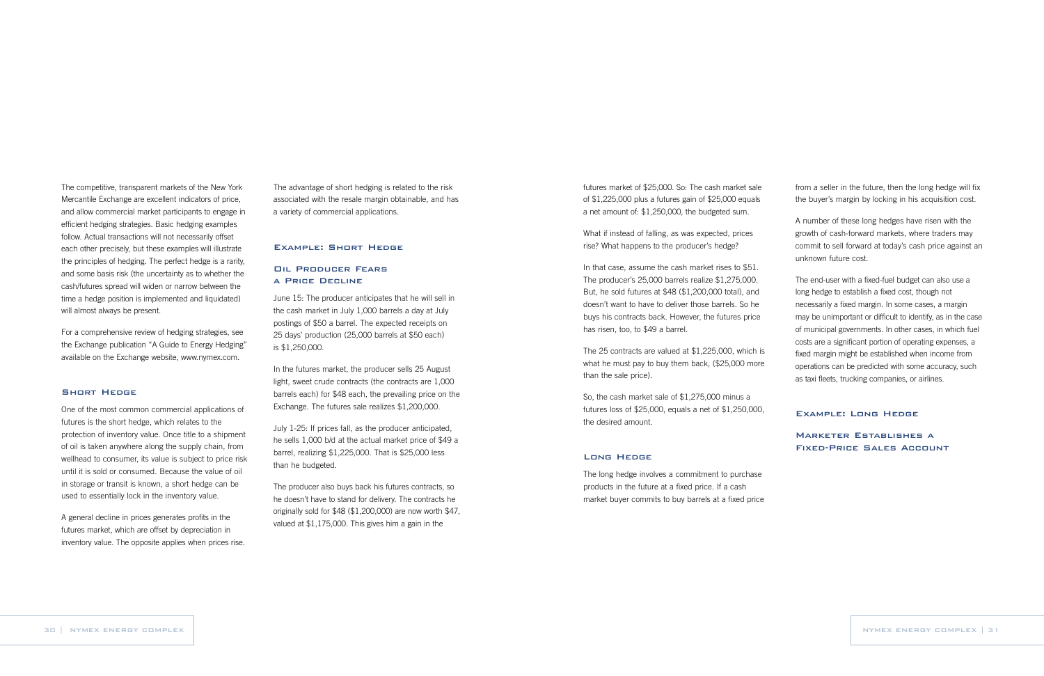The advantage of short hedging is related to the risk associated with the resale margin obtainable, and has a variety of commercial applications.

#### Example: Short Hedge

#### Oil Producer Fears a Price Decline

June 15: The producer anticipates that he will sell in the cash market in July 1,000 barrels a day at July postings of \$50 a barrel. The expected receipts on 25 days' production (25,000 barrels at \$50 each) is \$1,250,000.

In the futures market, the producer sells 25 August light, sweet crude contracts (the contracts are 1,000 barrels each) for \$48 each, the prevailing price on the Exchange. The futures sale realizes \$1,200,000.

July 1-25: If prices fall, as the producer anticipated, he sells 1,000 b/d at the actual market price of \$49 a barrel, realizing \$1,225,000. That is \$25,000 less than he budgeted.

The producer also buys back his futures contracts, so he doesn't have to stand for delivery. The contracts he originally sold for \$48 (\$1,200,000) are now worth \$47, valued at \$1,175,000. This gives him a gain in the

The competitive, transparent markets of the New York Mercantile Exchange are excellent indicators of price, and allow commercial market participants to engage in efficient hedging strategies. Basic hedging examples follow. Actual transactions will not necessarily offset each other precisely, but these examples will illustrate the principles of hedging. The perfect hedge is a rarity, and some basis risk (the uncertainty as to whether the cash/futures spread will widen or narrow between the time a hedge position is implemented and liquidated) will almost always be present.

For a comprehensive review of hedging strategies, see the Exchange publication "A Guide to Energy Hedging" available on the Exchange website, www.nymex.com.

#### Short Hedge

One of the most common commercial applications of futures is the short hedge, which relates to the protection of inventory value. Once title to a shipment of oil is taken anywhere along the supply chain, from wellhead to consumer, its value is subject to price risk until it is sold or consumed. Because the value of oil in storage or transit is known, a short hedge can be used to essentially lock in the inventory value.

A general decline in prices generates profits in the futures market, which are offset by depreciation in inventory value. The opposite applies when prices rise. from a seller in the future, then the long hedge will fix the buyer's margin by locking in his acquisition cost.

A number of these long hedges have risen with the growth of cash-forward markets, where traders may commit to sell forward at today's cash price against an unknown future cost.

The end-user with a fixed-fuel budget can also use a long hedge to establish a fixed cost, though not necessarily a fixed margin. In some cases, a margin may be unimportant or difficult to identify, as in the case of municipal governments. In other cases, in which fuel costs are a significant portion of operating expenses, a fixed margin might be established when income from operations can be predicted with some accuracy, such as taxi fleets, trucking companies, or airlines.

#### Example: Long Hedge

Marketer Establishes a Fixed-Price Sales Account

futures market of \$25,000. So: The cash market sale of \$1,225,000 plus a futures gain of \$25,000 equals a net amount of: \$1,250,000, the budgeted sum.

What if instead of falling, as was expected, prices rise? What happens to the producer's hedge?

In that case, assume the cash market rises to \$51. The producer's 25,000 barrels realize \$1,275,000. But, he sold futures at \$48 (\$1,200,000 total), and doesn't want to have to deliver those barrels. So he buys his contracts back. However, the futures price has risen, too, to \$49 a barrel.

The 25 contracts are valued at \$1,225,000, which is what he must pay to buy them back, (\$25,000 more than the sale price).

So, the cash market sale of \$1,275,000 minus a futures loss of \$25,000, equals a net of \$1,250,000, the desired amount.

#### Long Hedge

The long hedge involves a commitment to purchase products in the future at a fixed price. If a cash market buyer commits to buy barrels at a fixed price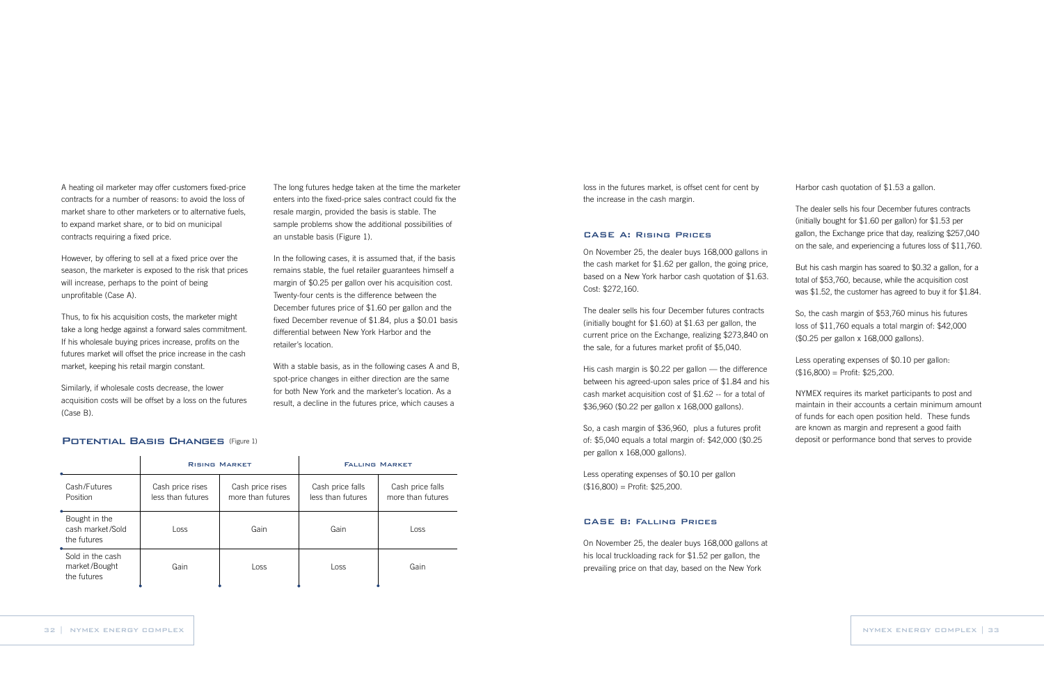Harbor cash quotation of \$1.53 a gallon.

The dealer sells his four December futures contracts (initially bought for \$1.60 per gallon) for \$1.53 per gallon, the Exchange price that day, realizing \$257,040 on the sale, and experiencing a futures loss of \$11,760.

Less operating expenses of \$0.10 per gallon:  $($16,800) = Profit: $25,200.$ 

But his cash margin has soared to \$0.32 a gallon, for a total of \$53,760, because, while the acquisition cost was \$1.52, the customer has agreed to buy it for \$1.84.

So, the cash margin of \$53,760 minus his futures loss of \$11,760 equals a total margin of: \$42,000 (\$0.25 per gallon x 168,000 gallons).

NYMEX requires its market participants to post and maintain in their accounts a certain minimum amount of funds for each open position held. These funds are known as margin and represent a good faith deposit or performance bond that serves to provide

Less operating expenses of \$0.10 per gallon  $($16,800) = Profit: $25,200.$ 

loss in the futures market, is offset cent for cent by the increase in the cash margin.

#### CASE A: Rising Prices

On November 25, the dealer buys 168,000 gallons in the cash market for \$1.62 per gallon, the going price, based on a New York harbor cash quotation of \$1.63. Cost: \$272,160.

The dealer sells his four December futures contracts (initially bought for \$1.60) at \$1.63 per gallon, the current price on the Exchange, realizing \$273,840 on the sale, for a futures market profit of \$5,040.

His cash margin is \$0.22 per gallon — the difference between his agreed-upon sales price of \$1.84 and his cash market acquisition cost of \$1.62 -- for a total of \$36,960 (\$0.22 per gallon x 168,000 gallons).

So, a cash margin of \$36,960, plus a futures profit of: \$5,040 equals a total margin of: \$42,000 (\$0.25 per gallon x 168,000 gallons).

#### CASE B: Falling Prices

On November 25, the dealer buys 168,000 gallons at his local truckloading rack for \$1.52 per gallon, the prevailing price on that day, based on the New York

#### POTENTIAL BASIS CHANGES (Figure 1)

The long futures hedge taken at the time the marketer enters into the fixed-price sales contract could fix the resale margin, provided the basis is stable. The sample problems show the additional possibilities of an unstable basis (Figure 1).

In the following cases, it is assumed that, if the basis remains stable, the fuel retailer guarantees himself a margin of \$0.25 per gallon over his acquisition cost. Twenty-four cents is the difference between the December futures price of \$1.60 per gallon and the fixed December revenue of \$1.84, plus a \$0.01 basis differential between New York Harbor and the retailer's location.

With a stable basis, as in the following cases A and B, spot-price changes in either direction are the same for both New York and the marketer's location. As a result, a decline in the futures price, which causes a

A heating oil marketer may offer customers fixed-price contracts for a number of reasons: to avoid the loss of market share to other marketers or to alternative fuels, to expand market share, or to bid on municipal contracts requiring a fixed price.

However, by offering to sell at a fixed price over the season, the marketer is exposed to the risk that prices will increase, perhaps to the point of being unprofitable (Case A).

Thus, to fix his acquisition costs, the marketer might take a long hedge against a forward sales commitment. If his wholesale buying prices increase, profits on the futures market will offset the price increase in the cash market, keeping his retail margin constant.

Similarly, if wholesale costs decrease, the lower acquisition costs will be offset by a loss on the futures (Case B).

|                                                  | <b>RISING MARKET</b>                  |                                       | <b>FALLING MARKET</b>                 |                                       |
|--------------------------------------------------|---------------------------------------|---------------------------------------|---------------------------------------|---------------------------------------|
| Cash/Futures<br>Position                         | Cash price rises<br>less than futures | Cash price rises<br>more than futures | Cash price falls<br>less than futures | Cash price falls<br>more than futures |
| Bought in the<br>cash market/Sold<br>the futures | Loss                                  | Gain                                  | Gain                                  | Loss                                  |
| Sold in the cash<br>market/Bought<br>the futures | Gain                                  | Loss                                  | Loss                                  | Gain                                  |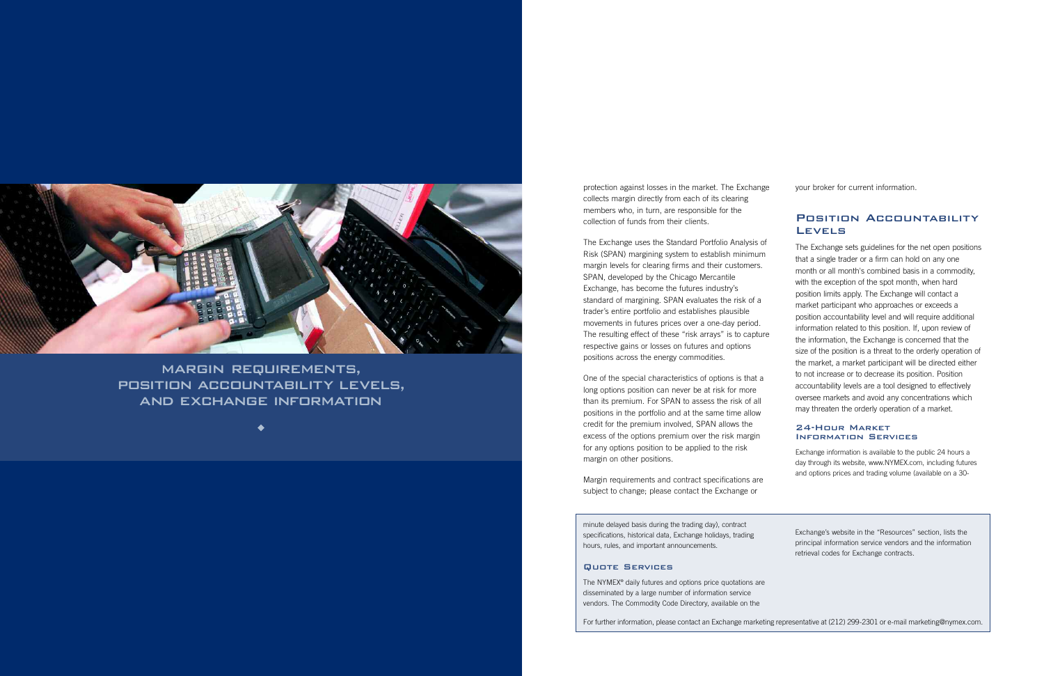protection against losses in the market. The Exchange collects margin directly from each of its clearing members who, in turn, are responsible for the collection of funds from their clients.

The Exchange uses the Standard Portfolio Analysis of Risk (SPAN) margining system to establish minimum margin levels for clearing firms and their customers. SPAN, developed by the Chicago Mercantile Exchange, has become the futures industry's standard of margining. SPAN evaluates the risk of a trader's entire portfolio and establishes plausible movements in futures prices over a one-day period. The resulting effect of these "risk arrays" is to capture respective gains or losses on futures and options positions across the energy commodities.

One of the special characteristics of options is that a long options position can never be at risk for more than its premium. For SPAN to assess the risk of all positions in the portfolio and at the same time allow credit for the premium involved, SPAN allows the excess of the options premium over the risk margin for any options position to be applied to the risk margin on other positions.

#### Position Accountability **LEVELS**

Margin requirements and contract specifications are subject to change; please contact the Exchange or

minute delayed basis during the trading day), contract specifications, historical data, Exchange holidays, trading hours, rules, and important announcements.

#### Quote Services

The NYMEX® daily futures and options price quotations are disseminated by a large number of information service vendors. The Commodity Code Directory, available on the

Exchange's website in the "Resources" section, lists the principal information service vendors and the information retrieval codes for Exchange contracts.

For further information, please contact an Exchange marketing representative at (212) 299-2301 or e-mail marketing@nymex.com.



MARGIN REQUIREMENTS, POSITION ACCOUNTABILITY LEVELS, AND EXCHANGE INFORMATION

 $\bullet$ 

your broker for current information.

The Exchange sets guidelines for the net open positions that a single trader or a firm can hold on any one month or all month's combined basis in a commodity, with the exception of the spot month, when hard position limits apply. The Exchange will contact a market participant who approaches or exceeds a position accountability level and will require additional information related to this position. If, upon review of the information, the Exchange is concerned that the size of the position is a threat to the orderly operation of the market, a market participant will be directed either to not increase or to decrease its position. Position accountability levels are a tool designed to effectively oversee markets and avoid any concentrations which may threaten the orderly operation of a market.

#### 24-Hour Market Information Services

Exchange information is available to the public 24 hours a day through its website, www.NYMEX.com, including futures and options prices and trading volume (available on a 30-